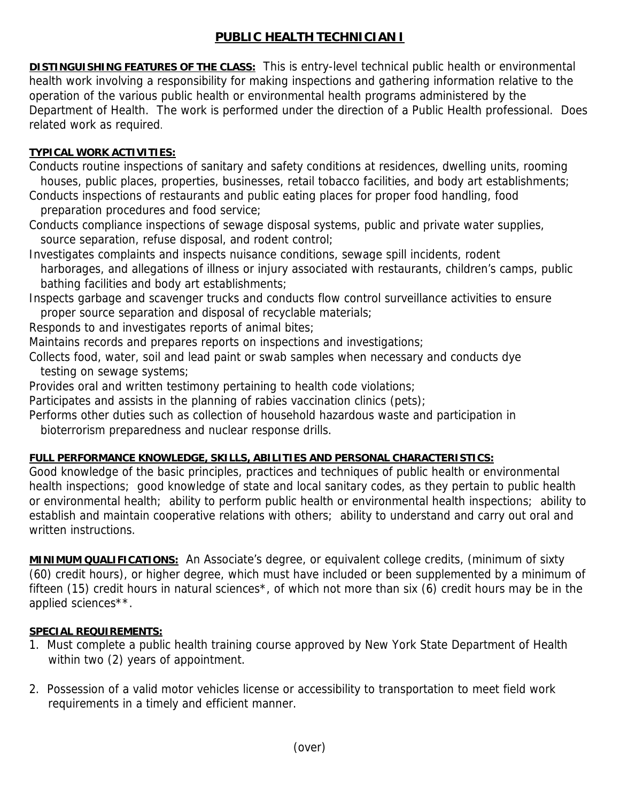## **PUBLIC HEALTH TECHNICIAN I**

**DISTINGUISHING FEATURES OF THE CLASS:** This is entry-level technical public health or environmental health work involving a responsibility for making inspections and gathering information relative to the operation of the various public health or environmental health programs administered by the Department of Health. The work is performed under the direction of a Public Health professional. Does related work as required.

## **TYPICAL WORK ACTIVITIES:**

Conducts routine inspections of sanitary and safety conditions at residences, dwelling units, rooming houses, public places, properties, businesses, retail tobacco facilities, and body art establishments;

Conducts inspections of restaurants and public eating places for proper food handling, food preparation procedures and food service;

Conducts compliance inspections of sewage disposal systems, public and private water supplies, source separation, refuse disposal, and rodent control;

Investigates complaints and inspects nuisance conditions, sewage spill incidents, rodent harborages, and allegations of illness or injury associated with restaurants, children's camps, public bathing facilities and body art establishments;

Inspects garbage and scavenger trucks and conducts flow control surveillance activities to ensure proper source separation and disposal of recyclable materials;

Responds to and investigates reports of animal bites;

Maintains records and prepares reports on inspections and investigations;

Collects food, water, soil and lead paint or swab samples when necessary and conducts dye testing on sewage systems;

Provides oral and written testimony pertaining to health code violations;

Participates and assists in the planning of rabies vaccination clinics (pets);

Performs other duties such as collection of household hazardous waste and participation in

bioterrorism preparedness and nuclear response drills.

## **FULL PERFORMANCE KNOWLEDGE, SKILLS, ABILITIES AND PERSONAL CHARACTERISTICS:**

Good knowledge of the basic principles, practices and techniques of public health or environmental health inspections; good knowledge of state and local sanitary codes, as they pertain to public health or environmental health; ability to perform public health or environmental health inspections; ability to establish and maintain cooperative relations with others; ability to understand and carry out oral and written instructions.

**MINIMUM QUALIFICATIONS:** An Associate's degree, or equivalent college credits, (minimum of sixty (60) credit hours), or higher degree, which must have included or been supplemented by a minimum of fifteen (15) credit hours in natural sciences\*, of which not more than six (6) credit hours may be in the applied sciences\*\*.

## **SPECIAL REQUIREMENTS:**

- 1. Must complete a public health training course approved by New York State Department of Health within two (2) years of appointment.
- 2. Possession of a valid motor vehicles license or accessibility to transportation to meet field work requirements in a timely and efficient manner.